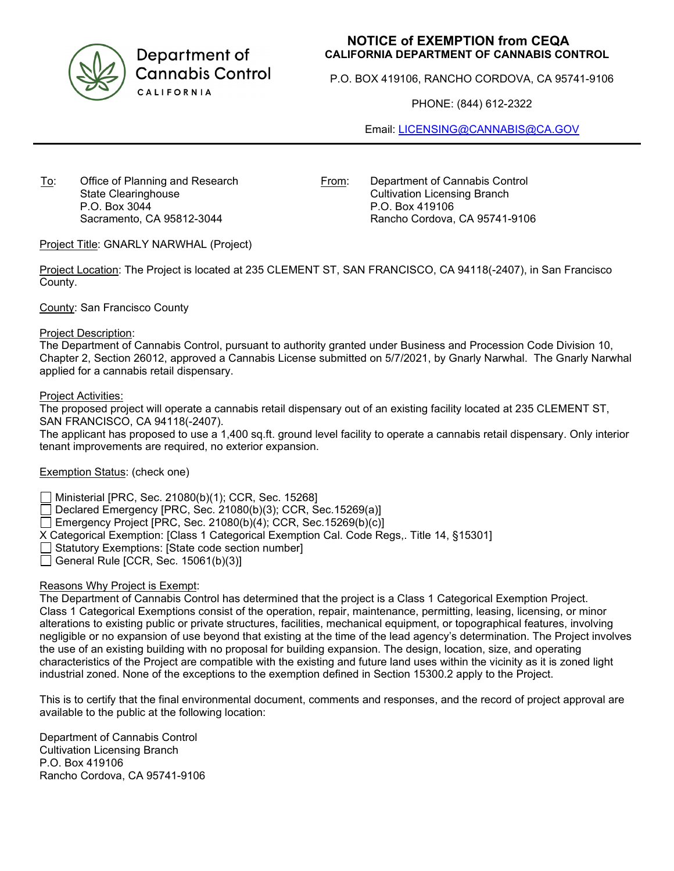

Department of **Cannabis Control** CALIFORNIA

## **NOTICE of EXEMPTION from CEQA CALIFORNIA DEPARTMENT OF CANNABIS CONTROL**

P.O. BOX 419106, RANCHO CORDOVA, CA 95741-9106

PHONE: (844) 612-2322

Email: [LICENSING@CANNABIS@CA.GOV](mailto:LICENSING@CANNABIS@CA.GOV)

To: Office of Planning and Research State Clearinghouse P.O. Box 3044 Sacramento, CA 95812-3044

From: Department of Cannabis Control

Cultivation Licensing Branch P.O. Box 419106 Rancho Cordova, CA 95741-9106

Project Title: GNARLY NARWHAL (Project)

Project Location: The Project is located at 235 CLEMENT ST, SAN FRANCISCO, CA 94118(-2407), in San Francisco County.

County: San Francisco County

Project Description:

The Department of Cannabis Control, pursuant to authority granted under Business and Procession Code Division 10, Chapter 2, Section 26012, approved a Cannabis License submitted on 5/7/2021, by Gnarly Narwhal. The Gnarly Narwhal applied for a cannabis retail dispensary.

Project Activities:

The proposed project will operate a cannabis retail dispensary out of an existing facility located at 235 CLEMENT ST, SAN FRANCISCO, CA 94118(-2407).

The applicant has proposed to use a 1,400 sq.ft. ground level facility to operate a cannabis retail dispensary. Only interior tenant improvements are required, no exterior expansion.

Exemption Status: (check one)

Ministerial [PRC, Sec. 21080(b)(1); CCR, Sec. 15268]

Declared Emergency [PRC, Sec. 21080(b)(3); CCR, Sec.15269(a)]

Emergency Project [PRC, Sec. 21080(b)(4); CCR, Sec.15269(b)(c)]

X Categorical Exemption: [Class 1 Categorical Exemption Cal. Code Regs,. Title 14, §15301]

Statutory Exemptions: [State code section number]

 $\Box$  General Rule [CCR, Sec. 15061(b)(3)]

## Reasons Why Project is Exempt:

The Department of Cannabis Control has determined that the project is a Class 1 Categorical Exemption Project. Class 1 Categorical Exemptions consist of the operation, repair, maintenance, permitting, leasing, licensing, or minor alterations to existing public or private structures, facilities, mechanical equipment, or topographical features, involving negligible or no expansion of use beyond that existing at the time of the lead agency's determination. The Project involves the use of an existing building with no proposal for building expansion. The design, location, size, and operating characteristics of the Project are compatible with the existing and future land uses within the vicinity as it is zoned light industrial zoned. None of the exceptions to the exemption defined in Section 15300.2 apply to the Project.

This is to certify that the final environmental document, comments and responses, and the record of project approval are available to the public at the following location:

Department of Cannabis Control Cultivation Licensing Branch P.O. Box 419106 Rancho Cordova, CA 95741-9106